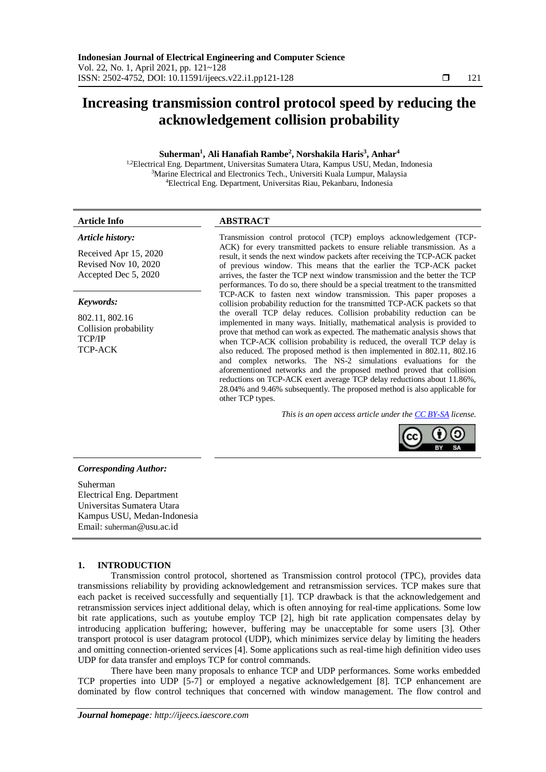## **Increasing transmission control protocol speed by reducing the acknowledgement collision probability**

### **Suherman<sup>1</sup> , Ali Hanafiah Rambe<sup>2</sup> , Norshakila Haris<sup>3</sup> , Anhar<sup>4</sup>**

<sup>1,2</sup>Electrical Eng. Department, Universitas Sumatera Utara, Kampus USU, Medan, Indonesia <sup>3</sup>Marine Electrical and Electronics Tech., Universiti Kuala Lumpur, Malaysia <sup>4</sup>Electrical Eng. Department, Universitas Riau, Pekanbaru, Indonesia

### *Article history:*

Received Apr 15, 2020 Revised Nov 10, 2020 Accepted Dec 5, 2020

### *Keywords:*

802.11, 802.16 Collision probability TCP/IP TCP-ACK

### **Article Info ABSTRACT**

Transmission control protocol (TCP) employs acknowledgement (TCP-ACK) for every transmitted packets to ensure reliable transmission. As a result, it sends the next window packets after receiving the TCP-ACK packet of previous window. This means that the earlier the TCP-ACK packet arrives, the faster the TCP next window transmission and the better the TCP performances. To do so, there should be a special treatment to the transmitted TCP-ACK to fasten next window transmission. This paper proposes a collision probability reduction for the transmitted TCP-ACK packets so that the overall TCP delay reduces. Collision probability reduction can be implemented in many ways. Initially, mathematical analysis is provided to prove that method can work as expected. The mathematic analysis shows that when TCP-ACK collision probability is reduced, the overall TCP delay is also reduced. The proposed method is then implemented in 802.11, 802.16 and complex networks. The NS-2 simulations evaluations for the aforementioned networks and the proposed method proved that collision reductions on TCP-ACK exert average TCP delay reductions about 11.86%, 28.04% and 9.46% subsequently. The proposed method is also applicable for other TCP types.

*This is an open access article under the [CC BY-SA](https://creativecommons.org/licenses/by-sa/4.0/) license.*



### *Corresponding Author:*

Suherman Electrical Eng. Department Universitas Sumatera Utara Kampus USU, Medan-Indonesia Email: suherman@usu.ac.id

### **1. INTRODUCTION**

Transmission control protocol, shortened as Transmission control protocol (TPC), provides data transmissions reliability by providing acknowledgement and retransmission services. TCP makes sure that each packet is received successfully and sequentially [1]. TCP drawback is that the acknowledgement and retransmission services inject additional delay, which is often annoying for real-time applications. Some low bit rate applications, such as youtube employ TCP [2], high bit rate application compensates delay by introducing application buffering; however, buffering may be unacceptable for some users [3]. Other transport protocol is user datagram protocol (UDP), which minimizes service delay by limiting the headers and omitting connection-oriented services [4]. Some applications such as real-time high definition video uses UDP for data transfer and employs TCP for control commands.

There have been many proposals to enhance TCP and UDP performances. Some works embedded TCP properties into UDP [5-7] or employed a negative acknowledgement [8]. TCP enhancement are dominated by flow control techniques that concerned with window management. The flow control and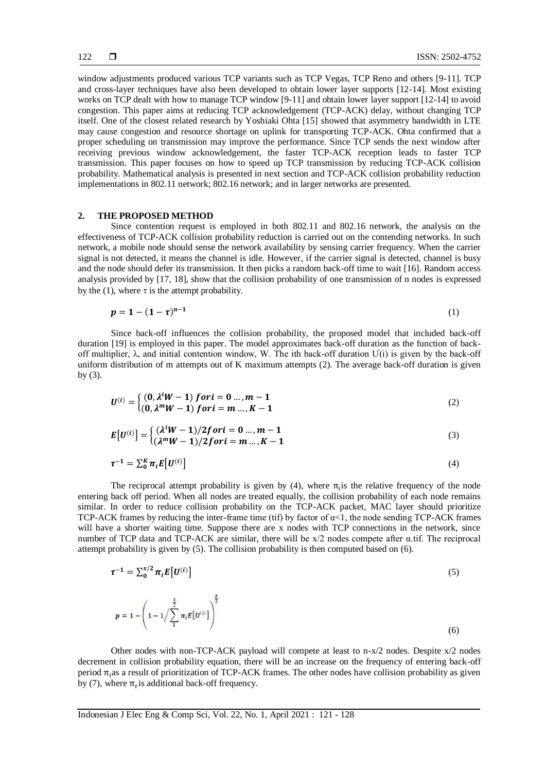window adjustments produced various TCP variants such as TCP Vegas, TCP Reno and others [9-11]. TCP and cross-layer techniques have also been developed to obtain lower layer supports [12-14]. Most existing works on TCP dealt with how to manage TCP window [9-11] and obtain lower layer support [12-14] to avoid congestion. This paper aims at reducing TCP acknowledgement (TCP-ACK) delay, without changing TCP itself. One of the closest related research by Yoshiaki Ohta [15] showed that asymmetry bandwidth in LTE may cause congestion and resource shortage on uplink for transporting TCP-ACK. Ohta confirmed that a proper scheduling on transmission may improve the performance. Since TCP sends the next window after receiving previous window acknowledgement, the faster TCP-ACK reception leads to faster TCP transmission. This paper focuses on how to speed up TCP transmission by reducing TCP-ACK collision probability. Mathematical analysis is presented in next section and TCP-ACK collision probability reduction implementations in 802.11 network; 802.16 network; and in larger networks are presented.

### **2. THE PROPOSED METHOD**

Since contention request is employed in both 802.11 and 802.16 network, the analysis on the effectiveness of TCP-ACK collision probability reduction is carried out on the contending networks. In such network, a mobile node should sense the network availability by sensing carrier frequency. When the carrier signal is not detected, it means the channel is idle. However, if the carrier signal is detected, channel is busy and the node should defer its transmission. It then picks a random back-off time to wait [16]. Random access analysis provided by [17, 18], show that the collision probability of one transmission of n nodes is expressed by the (1), where  $\tau$  is the attempt probability.

$$
p = 1 - (1 - \tau)^{n-1}
$$
 (1)

Since back-off influences the collision probability, the proposed model that included back-off duration [19] is employed in this paper. The model approximates back-off duration as the function of backoff multiplier,  $\lambda$ , and initial contention window, W. The ith back-off duration  $U(i)$  is given by the back-off uniform distribution of m attempts out of K maximum attempts (2). The average back-off duration is given by (3).

$$
U^{(i)} = \begin{cases} (0, \lambda^i W - 1) for i = 0 ..., m - 1 \\ (0, \lambda^m W - 1) for i = m ..., K - 1 \end{cases}
$$
 (2)

$$
E[U^{(i)}] = \begin{cases} (\lambda^i W - 1)/2 for i = 0 ..., m - 1 \\ (\lambda^m W - 1)/2 for i = m ..., K - 1 \end{cases}
$$
(3)

$$
\tau^{-1} = \sum_{0}^{K} \pi_i E[U^{(i)}]
$$
\n
$$
\tag{4}
$$

The reciprocal attempt probability is given by (4), where  $\pi_i$  is the relative frequency of the node entering back off period. When all nodes are treated equally, the collision probability of each node remains similar. In order to reduce collision probability on the TCP-ACK packet, MAC layer should prioritize TCP-ACK frames by reducing the inter-frame time (tif) by factor of  $\alpha$ <1, the node sending TCP-ACK frames will have a shorter waiting time. Suppose there are x nodes with TCP connections in the network, since number of TCP data and TCP-ACK are similar, there will be x/2 nodes compete after α.tif. The reciprocal attempt probability is given by (5). The collision probability is then computed based on (6).

$$
\tau^{-1} = \sum_{0}^{x/2} \pi_{i} E[U^{(i)}]
$$
\n(5)

$$
p = 1 - \left(1 - 1/\sum_{1}^{\frac{x}{2}} \pi_i E[U^{(i)}]\right)^{\frac{x}{2}}
$$
(6)

Other nodes with non-TCP-ACK payload will compete at least to n-x/2 nodes. Despite x/2 nodes decrement in collision probability equation, there will be an increase on the frequency of entering back-off period π<sub>i</sub>as a result of prioritization of TCP-ACK frames. The other nodes have collision probability as given by (7), where  $\pi_r$  is additional back-off frequency.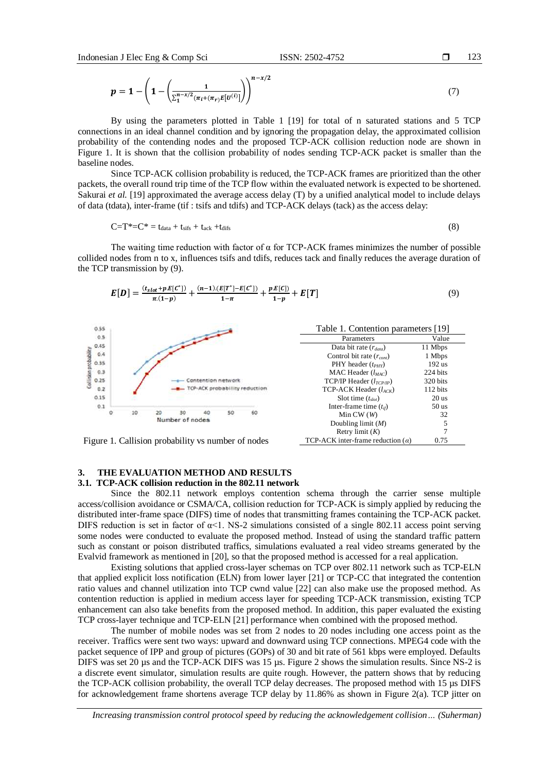$$
p = 1 - \left(1 - \left(\frac{1}{\sum_{1}^{n-x/2} (\pi_i + (\pi_r)E[U^{(i)}])}\right)^{n-x/2}\right) \tag{7}
$$

By using the parameters plotted in Table 1 [19] for total of n saturated stations and 5 TCP connections in an ideal channel condition and by ignoring the propagation delay, the approximated collision probability of the contending nodes and the proposed TCP-ACK collision reduction node are shown in Figure 1. It is shown that the collision probability of nodes sending TCP-ACK packet is smaller than the baseline nodes.

Since TCP-ACK collision probability is reduced, the TCP-ACK frames are prioritized than the other packets, the overall round trip time of the TCP flow within the evaluated network is expected to be shortened. Sakurai *et al.* [19] approximated the average access delay (T) by a unified analytical model to include delays of data (tdata), inter-frame (tif : tsifs and tdifs) and TCP-ACK delays (tack) as the access delay:

$$
C=T^* = t_{data} + t_{sifs} + t_{ack} + t_{difs}
$$
\n(8)

The waiting time reduction with factor of  $\alpha$  for TCP-ACK frames minimizes the number of possible collided nodes from n to x, influences tsifs and tdifs, reduces tack and finally reduces the average duration of the TCP transmission by (9).

$$
E[D] = \frac{(t_{slot} + p.E[C^*])}{\pi.(1-p)} + \frac{(n-1)(E[T^*] - E[C^*])}{1-\pi} + \frac{p.E[C])}{1-p} + E[T]
$$
\n(9)



Figure 1. Callision probability vs number of nodes  $\text{TCP-ACK}\$  inter-frame reduction (a) 0.75

# Retry limit (*K*) TCP-ACK inter-frame reduction (*α*)

### **3. THE EVALUATION METHOD AND RESULTS 3.1. TCP-ACK collision reduction in the 802.11 network**

Since the 802.11 network employs contention schema through the carrier sense multiple access/collision avoidance or CSMA/CA, collision reduction for TCP-ACK is simply applied by reducing the distributed inter-frame space (DIFS) time of nodes that transmitting frames containing the TCP-ACK packet. DIFS reduction is set in factor of  $\alpha$ <1. NS-2 simulations consisted of a single 802.11 access point serving some nodes were conducted to evaluate the proposed method. Instead of using the standard traffic pattern such as constant or poison distributed traffics, simulations evaluated a real video streams generated by the Evalvid framework as mentioned in [20], so that the proposed method is accessed for a real application.

Existing solutions that applied cross-layer schemas on TCP over 802.11 network such as TCP-ELN that applied explicit loss notification (ELN) from lower layer [21] or TCP-CC that integrated the contention ratio values and channel utilization into TCP cwnd value [22] can also make use the proposed method. As contention reduction is applied in medium access layer for speeding TCP-ACK transmission, existing TCP enhancement can also take benefits from the proposed method. In addition, this paper evaluated the existing TCP cross-layer technique and TCP-ELN [21] performance when combined with the proposed method.

The number of mobile nodes was set from 2 nodes to 20 nodes including one access point as the receiver. Traffics were sent two ways: upward and downward using TCP connections. MPEG4 code with the packet sequence of IPP and group of pictures (GOPs) of 30 and bit rate of 561 kbps were employed. Defaults DIFS was set 20 µs and the TCP-ACK DIFS was 15 µs. Figure 2 shows the simulation results. Since NS-2 is a discrete event simulator, simulation results are quite rough. However, the pattern shows that by reducing the TCP-ACK collision probability, the overall TCP delay decreases. The proposed method with 15 µs DIFS for acknowledgement frame shortens average TCP delay by 11.86% as shown in Figure 2(a). TCP jitter on

*Increasing transmission control protocol speed by reducing the acknowledgement collision… (Suherman)*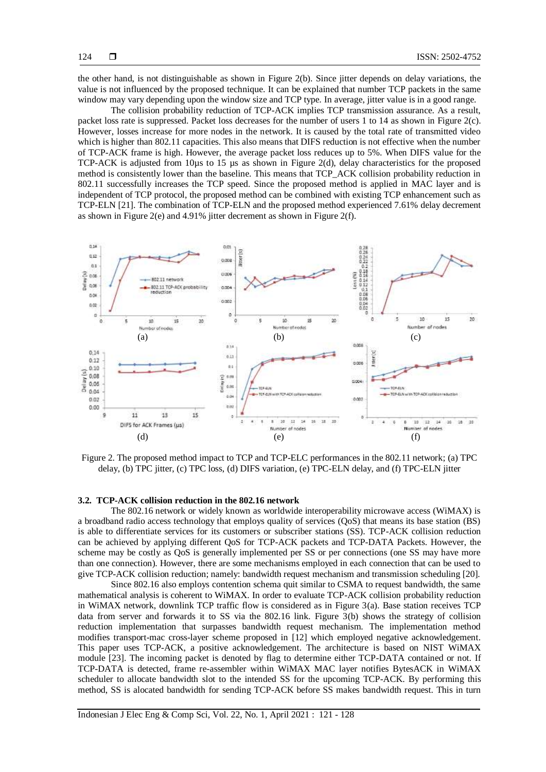the other hand, is not distinguishable as shown in Figure 2(b). Since jitter depends on delay variations, the value is not influenced by the proposed technique. It can be explained that number TCP packets in the same window may vary depending upon the window size and TCP type. In average, jitter value is in a good range.

The collision probability reduction of TCP-ACK implies TCP transmission assurance. As a result, packet loss rate is suppressed. Packet loss decreases for the number of users 1 to 14 as shown in Figure 2(c). However, losses increase for more nodes in the network. It is caused by the total rate of transmitted video which is higher than 802.11 capacities. This also means that DIFS reduction is not effective when the number of TCP-ACK frame is high. However, the average packet loss reduces up to 5%. When DIFS value for the TCP-ACK is adjusted from 10µs to 15 µs as shown in Figure 2(d), delay characteristics for the proposed method is consistently lower than the baseline. This means that TCP\_ACK collision probability reduction in 802.11 successfully increases the TCP speed. Since the proposed method is applied in MAC layer and is independent of TCP protocol, the proposed method can be combined with existing TCP enhancement such as TCP-ELN [21]. The combination of TCP-ELN and the proposed method experienced 7.61% delay decrement as shown in Figure 2(e) and 4.91% jitter decrement as shown in Figure 2(f).



Figure 2. The proposed method impact to TCP and TCP-ELC performances in the 802.11 network; (a) TPC delay, (b) TPC jitter, (c) TPC loss, (d) DIFS variation, (e) TPC-ELN delay, and (f) TPC-ELN jitter

### **3.2. TCP-ACK collision reduction in the 802.16 network**

The 802.16 network or widely known as worldwide interoperability microwave access (WiMAX) is a broadband radio access technology that employs quality of services (QoS) that means its base station (BS) is able to differentiate services for its customers or subscriber stations (SS). TCP-ACK collision reduction can be achieved by applying different QoS for TCP-ACK packets and TCP-DATA Packets. However, the scheme may be costly as QoS is generally implemented per SS or per connections (one SS may have more than one connection). However, there are some mechanisms employed in each connection that can be used to give TCP-ACK collision reduction; namely: bandwidth request mechanism and transmission scheduling [20].

Since 802.16 also employs contention schema quit similar to CSMA to request bandwidth, the same mathematical analysis is coherent to WiMAX. In order to evaluate TCP-ACK collision probability reduction in WiMAX network, downlink TCP traffic flow is considered as in Figure 3(a). Base station receives TCP data from server and forwards it to SS via the 802.16 link. Figure 3(b) shows the strategy of collision reduction implementation that surpasses bandwidth request mechanism. The implementation method modifies transport-mac cross-layer scheme proposed in [12] which employed negative acknowledgement. This paper uses TCP-ACK, a positive acknowledgement. The architecture is based on NIST WiMAX module [23]. The incoming packet is denoted by flag to determine either TCP-DATA contained or not. If TCP-DATA is detected, frame re-assembler within WiMAX MAC layer notifies BytesACK in WiMAX scheduler to allocate bandwidth slot to the intended SS for the upcoming TCP-ACK. By performing this method, SS is alocated bandwidth for sending TCP-ACK before SS makes bandwidth request. This in turn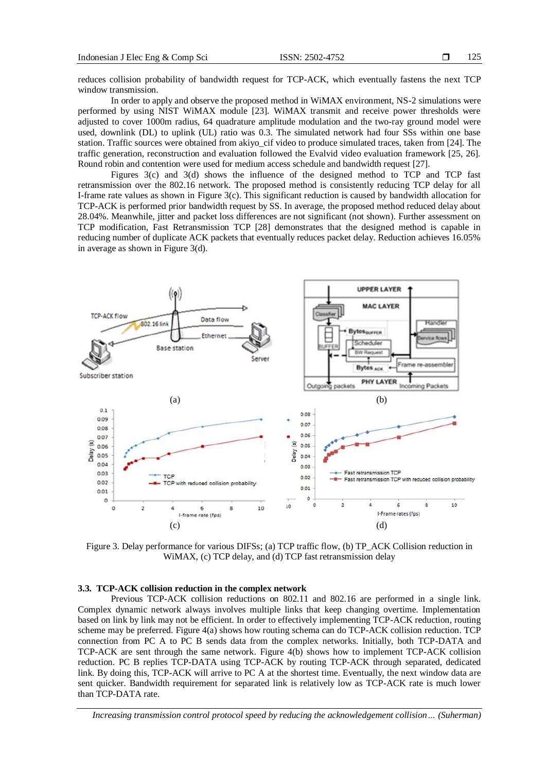reduces collision probability of bandwidth request for TCP-ACK, which eventually fastens the next TCP window transmission.

In order to apply and observe the proposed method in WiMAX environment, NS-2 simulations were performed by using NIST WiMAX module [23]. WiMAX transmit and receive power thresholds were adjusted to cover 1000m radius, 64 quadrature amplitude modulation and the two-ray ground model were used, downlink (DL) to uplink (UL) ratio was 0.3. The simulated network had four SSs within one base station. Traffic sources were obtained from akiyo\_cif video to produce simulated traces, taken from [24]. The traffic generation, reconstruction and evaluation followed the Evalvid video evaluation framework [25, 26]. Round robin and contention were used for medium access schedule and bandwidth request [27].

Figures 3(c) and 3(d) shows the influence of the designed method to TCP and TCP fast retransmission over the 802.16 network. The proposed method is consistently reducing TCP delay for all I-frame rate values as shown in Figure 3(c). This significant reduction is caused by bandwidth allocation for TCP-ACK is performed prior bandwidth request by SS. In average, the proposed method reduced delay about 28.04%. Meanwhile, jitter and packet loss differences are not significant (not shown). Further assessment on TCP modification, Fast Retransmission TCP [28] demonstrates that the designed method is capable in reducing number of duplicate ACK packets that eventually reduces packet delay. Reduction achieves 16.05% in average as shown in Figure 3(d).



Figure 3. Delay performance for various DIFSs; (a) TCP traffic flow, (b) TP\_ACK Collision reduction in WiMAX, (c) TCP delay, and (d) TCP fast retransmission delay

### **3.3. TCP-ACK collision reduction in the complex network**

Previous TCP-ACK collision reductions on 802.11 and 802.16 are performed in a single link. Complex dynamic network always involves multiple links that keep changing overtime. Implementation based on link by link may not be efficient. In order to effectively implementing TCP-ACK reduction, routing scheme may be preferred. Figure 4(a) shows how routing schema can do TCP-ACK collision reduction. TCP connection from PC A to PC B sends data from the complex networks. Initially, both TCP-DATA and TCP-ACK are sent through the same network. Figure 4(b) shows how to implement TCP-ACK collision reduction. PC B replies TCP-DATA using TCP-ACK by routing TCP-ACK through separated, dedicated link. By doing this, TCP-ACK will arrive to PC A at the shortest time. Eventually, the next window data are sent quicker. Bandwidth requirement for separated link is relatively low as TCP-ACK rate is much lower than TCP-DATA rate.

*Increasing transmission control protocol speed by reducing the acknowledgement collision… (Suherman)*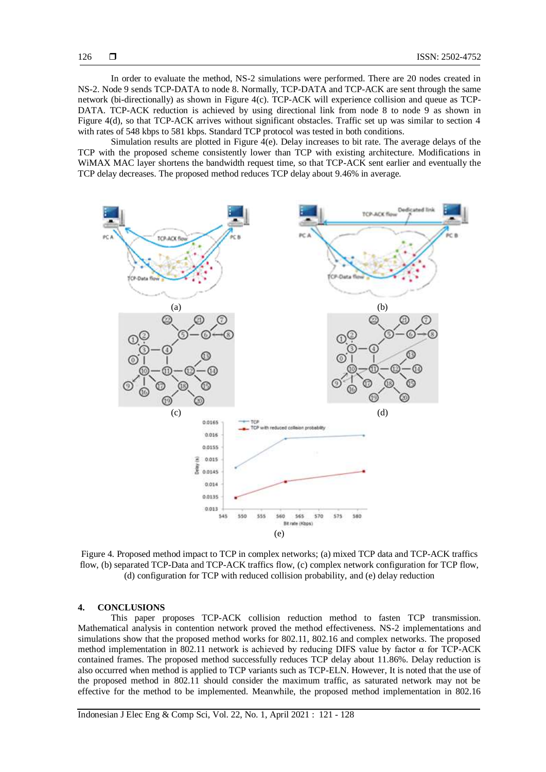In order to evaluate the method, NS-2 simulations were performed. There are 20 nodes created in NS-2. Node 9 sends TCP-DATA to node 8. Normally, TCP-DATA and TCP-ACK are sent through the same network (bi-directionally) as shown in Figure 4(c). TCP-ACK will experience collision and queue as TCP-DATA. TCP-ACK reduction is achieved by using directional link from node 8 to node 9 as shown in Figure 4(d), so that TCP-ACK arrives without significant obstacles. Traffic set up was similar to section 4 with rates of 548 kbps to 581 kbps. Standard TCP protocol was tested in both conditions.

Simulation results are plotted in Figure  $4(e)$ . Delay increases to bit rate. The average delays of the TCP with the proposed scheme consistently lower than TCP with existing architecture. Modifications in WiMAX MAC layer shortens the bandwidth request time, so that TCP-ACK sent earlier and eventually the TCP delay decreases. The proposed method reduces TCP delay about 9.46% in average.



Figure 4. Proposed method impact to TCP in complex networks; (a) mixed TCP data and TCP-ACK traffics flow, (b) separated TCP-Data and TCP-ACK traffics flow, (c) complex network configuration for TCP flow, (d) configuration for TCP with reduced collision probability, and (e) delay reduction

### **4. CONCLUSIONS**

This paper proposes TCP-ACK collision reduction method to fasten TCP transmission. Mathematical analysis in contention network proved the method effectiveness. NS-2 implementations and simulations show that the proposed method works for 802.11, 802.16 and complex networks. The proposed method implementation in 802.11 network is achieved by reducing DIFS value by factor α for TCP-ACK contained frames. The proposed method successfully reduces TCP delay about 11.86%. Delay reduction is also occurred when method is applied to TCP variants such as TCP-ELN. However, It is noted that the use of the proposed method in 802.11 should consider the maximum traffic, as saturated network may not be effective for the method to be implemented. Meanwhile, the proposed method implementation in 802.16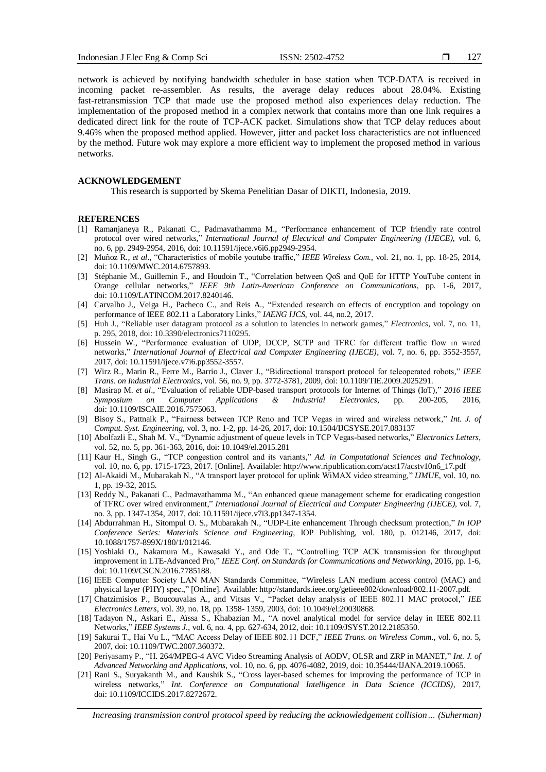127

network is achieved by notifying bandwidth scheduler in base station when TCP-DATA is received in incoming packet re-assembler. As results, the average delay reduces about 28.04%. Existing fast-retransmission TCP that made use the proposed method also experiences delay reduction. The implementation of the proposed method in a complex network that contains more than one link requires a dedicated direct link for the route of TCP-ACK packet. Simulations show that TCP delay reduces about 9.46% when the proposed method applied. However, jitter and packet loss characteristics are not influenced by the method. Future wok may explore a more efficient way to implement the proposed method in various networks.

### **ACKNOWLEDGEMENT**

This research is supported by Skema Penelitian Dasar of DIKTI, Indonesia, 2019.

### **REFERENCES**

- [1] Ramanjaneya R., Pakanati C., Padmavathamma M., "Performance enhancement of TCP friendly rate control protocol over wired networks," *International Journal of Electrical and Computer Engineering (IJECE)*, vol. 6, no. 6, pp. 2949-2954, 2016, doi: 10.11591/ijece.v6i6.pp2949-2954.
- [2] Muñoz R., *et al*., "Characteristics of mobile youtube traffic," *IEEE Wireless Com.*, vol. 21, no. 1, pp. 18-25, 2014, doi: 10.1109/MWC.2014.6757893.
- [3] Stéphanie M., Guillemin F., and Houdoin T., "Correlation between QoS and QoE for HTTP YouTube content in Orange cellular networks," *IEEE 9th Latin-American Conference on Communications*, pp. 1-6, 2017, doi: 10.1109/LATINCOM.2017.8240146.
- [4] Carvalho J., Veiga H., Pacheco C., and Reis A., "Extended research on effects of encryption and topology on performance of IEEE 802.11 a Laboratory Links," *IAENG IJCS*, vol. 44, no.2, 2017.
- [5] Huh J., "Reliable user datagram protocol as a solution to latencies in network games," *Electronics*, vol. 7, no. 11, p. 295, 2018, doi: 10.3390/electronics7110295.
- [6] Hussein W., "Performance evaluation of UDP, DCCP, SCTP and TFRC for different traffic flow in wired networks," *International Journal of Electrical and Computer Engineering (IJECE)*, vol. 7, no. 6, pp. 3552-3557, 2017, doi: 10.11591/ijece.v7i6.pp3552-3557.
- [7] Wirz R., Marin R., Ferre M., Barrio J., Claver J., "Bidirectional transport protocol for teleoperated robots," *IEEE Trans. on Industrial Electronics*, vol. 56, no. 9, pp. 3772-3781, 2009, doi: 10.1109/TIE.2009.2025291.
- [8] Masirap M. *et al*., "Evaluation of reliable UDP-based transport protocols for Internet of Things (IoT)," *2016 IEEE Symposium on Computer Applications & Industrial Electronics*, pp. 200-205, 2016, doi: 10.1109/ISCAIE.2016.7575063.
- [9] Bisoy S., Pattnaik P., "Fairness between TCP Reno and TCP Vegas in wired and wireless network," *Int. J. of Comput. Syst. Engineering*, vol. 3, no. 1-2, pp. 14-26, 2017, doi: 10.1504/IJCSYSE.2017.083137
- [10] Abolfazli E., Shah M. V., "Dynamic adjustment of queue levels in TCP Vegas-based networks," *Electronics Letters*, vol. 52, no. 5, pp. 361-363, 2016, doi: 10.1049/el.2015.281
- [11] Kaur H., Singh G., "TCP congestion control and its variants," *Ad. in Computational Sciences and Technology*, vol. 10, no. 6, pp. 1715-1723, 2017. [Online]. Available: http://www.ripublication.com/acst17/acstv10n6\_17.pdf
- [12] Al-Akaidi M., Mubarakah N., "A transport layer protocol for uplink WiMAX video streaming," *IJMUE*, vol. 10, no. 1, pp. 19-32, 2015.
- [13] Reddy N., Pakanati C., Padmavathamma M., "An enhanced queue management scheme for eradicating congestion of TFRC over wired environment," *International Journal of Electrical and Computer Engineering (IJECE)*, vol. 7, no. 3, pp. 1347-1354, 2017, doi: 10.11591/ijece.v7i3.pp1347-1354.
- [14] Abdurrahman H., Sitompul O. S., Mubarakah N., "UDP-Lite enhancement Through checksum protection," *In IOP Conference Series: Materials Science and Engineering*, IOP Publishing, vol. 180, p. 012146, 2017, doi: 10.1088/1757-899X/180/1/012146.
- [15] Yoshiaki O., Nakamura M., Kawasaki Y., and Ode T., "Controlling TCP ACK transmission for throughput improvement in LTE-Advanced Pro," *IEEE Conf. on Standards for Communications and Networking*, 2016, pp. 1-6, doi: 10.1109/CSCN.2016.7785188.
- [16] IEEE Computer Society LAN MAN Standards Committee, "Wireless LAN medium access control (MAC) and physical layer (PHY) spec.," [Online]. Available: http://standards.ieee.org/getieee802/download/802.11-2007.pdf.
- [17] Chatzimisios P., Boucouvalas A., and Vitsas V., "Packet delay analysis of IEEE 802.11 MAC protocol," *IEE Electronics Letters*, vol. 39, no. 18, pp. 1358- 1359, 2003, doi: 10.1049/el:20030868.
- [18] Tadayon N., Askari E., Aïssa S., Khabazian M., "A novel analytical model for service delay in IEEE 802.11 Networks," *IEEE Systems J.*, vol. 6, no. 4, pp. 627-634, 2012, doi: 10.1109/JSYST.2012.2185350.
- [19] Sakurai T., Hai Vu L., "MAC Access Delay of IEEE 802.11 DCF," *IEEE Trans. on Wireless Comm.*, vol. 6, no. 5, 2007, doi: 10.1109/TWC.2007.360372.
- [20] Periyasamy P., "H. 264/MPEG-4 AVC Video Streaming Analysis of AODV, OLSR and ZRP in MANET," *Int. J. of Advanced Networking and Applications*, vol. 10, no. 6, pp. 4076-4082, 2019, doi: 10.35444/IJANA.2019.10065.
- [21] Rani S., Suryakanth M., and Kaushik S., "Cross layer-based schemes for improving the performance of TCP in wireless networks," *Int. Conference on Computational Intelligence in Data Science (ICCIDS)*, 2017, doi: 10.1109/ICCIDS.2017.8272672.

*Increasing transmission control protocol speed by reducing the acknowledgement collision… (Suherman)*